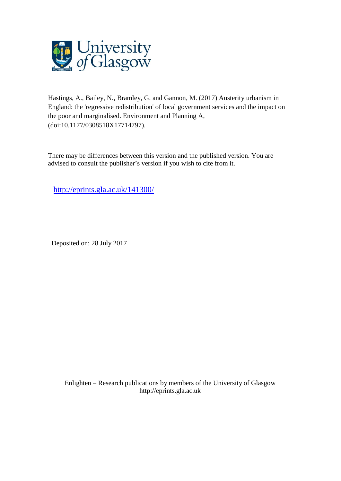

Hastings, A., Bailey, N., Bramley, G. and Gannon, M. (2017) Austerity urbanism in England: the 'regressive redistribution' of local government services and the impact on the poor and marginalised. Environment and Planning A, (doi:10.1177/0308518X17714797).

There may be differences between this version and the published version. You are advised to consult the publisher's version if you wish to cite from it.

<http://eprints.gla.ac.uk/141300/>

Deposited on: 28 July 2017

Enlighten – Research publications by members of the University of Glasgo[w](http://eprints.gla.ac.uk/) [http://eprints.gla.ac.uk](http://eprints.gla.ac.uk/)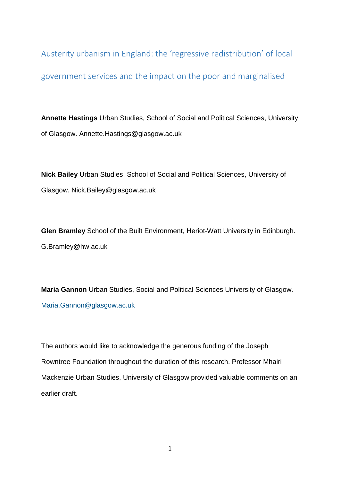Austerity urbanism in England: the 'regressive redistribution' of local government services and the impact on the poor and marginalised

**Annette Hastings** Urban Studies, School of Social and Political Sciences, University of Glasgow. Annette.Hastings@glasgow.ac.uk

**Nick Bailey** Urban Studies, School of Social and Political Sciences, University of Glasgow. Nick.Bailey@glasgow.ac.uk

**Glen Bramley** School of the Built Environment, Heriot-Watt University in Edinburgh. G.Bramley@hw.ac.uk

**Maria Gannon** Urban Studies, Social and Political Sciences University of Glasgow. [Maria.Gannon@glasgow.ac.uk](mailto:Maria.Gannon@glasgow.ac.uk)

The authors would like to acknowledge the generous funding of the Joseph Rowntree Foundation throughout the duration of this research. Professor Mhairi Mackenzie Urban Studies, University of Glasgow provided valuable comments on an earlier draft.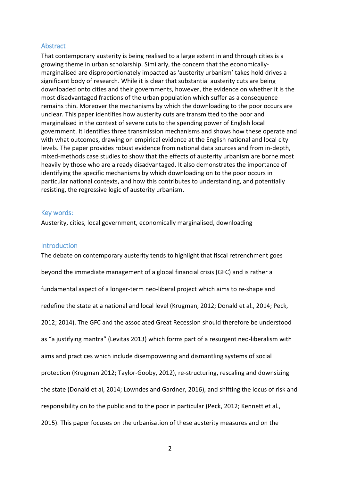# **Abstract**

That contemporary austerity is being realised to a large extent in and through cities is a growing theme in urban scholarship. Similarly, the concern that the economicallymarginalised are disproportionately impacted as 'austerity urbanism' takes hold drives a significant body of research. While it is clear that substantial austerity cuts are being downloaded onto cities and their governments, however, the evidence on whether it is the most disadvantaged fractions of the urban population which suffer as a consequence remains thin. Moreover the mechanisms by which the downloading to the poor occurs are unclear. This paper identifies how austerity cuts are transmitted to the poor and marginalised in the context of severe cuts to the spending power of English local government. It identifies three transmission mechanisms and shows how these operate and with what outcomes, drawing on empirical evidence at the English national and local city levels. The paper provides robust evidence from national data sources and from in-depth, mixed-methods case studies to show that the effects of austerity urbanism are borne most heavily by those who are already disadvantaged. It also demonstrates the importance of identifying the specific mechanisms by which downloading on to the poor occurs in particular national contexts, and how this contributes to understanding, and potentially resisting, the regressive logic of austerity urbanism.

### Key words:

Austerity, cities, local government, economically marginalised, downloading

### Introduction

The debate on contemporary austerity tends to highlight that fiscal retrenchment goes beyond the immediate management of a global financial crisis (GFC) and is rather a fundamental aspect of a longer-term neo-liberal project which aims to re-shape and redefine the state at a national and local level (Krugman, 2012; Donald et al., 2014; Peck, 2012; 2014). The GFC and the associated Great Recession should therefore be understood as "a justifying mantra" (Levitas 2013) which forms part of a resurgent neo-liberalism with aims and practices which include disempowering and dismantling systems of social protection (Krugman 2012; Taylor-Gooby, 2012), re-structuring, rescaling and downsizing the state (Donald et al, 2014; Lowndes and Gardner, 2016), and shifting the locus of risk and responsibility on to the public and to the poor in particular (Peck, 2012; Kennett et al., 2015). This paper focuses on the urbanisation of these austerity measures and on the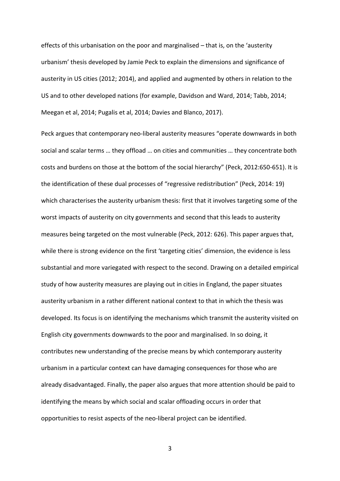effects of this urbanisation on the poor and marginalised – that is, on the 'austerity urbanism' thesis developed by Jamie Peck to explain the dimensions and significance of austerity in US cities (2012; 2014), and applied and augmented by others in relation to the US and to other developed nations (for example, Davidson and Ward, 2014; Tabb, 2014; Meegan et al, 2014; Pugalis et al, 2014; Davies and Blanco, 2017).

Peck argues that contemporary neo-liberal austerity measures "operate downwards in both social and scalar terms … they offload … on cities and communities … they concentrate both costs and burdens on those at the bottom of the social hierarchy" (Peck, 2012:650-651). It is the identification of these dual processes of "regressive redistribution" (Peck, 2014: 19) which characterises the austerity urbanism thesis: first that it involves targeting some of the worst impacts of austerity on city governments and second that this leads to austerity measures being targeted on the most vulnerable (Peck, 2012: 626). This paper argues that, while there is strong evidence on the first 'targeting cities' dimension, the evidence is less substantial and more variegated with respect to the second. Drawing on a detailed empirical study of how austerity measures are playing out in cities in England, the paper situates austerity urbanism in a rather different national context to that in which the thesis was developed. Its focus is on identifying the mechanisms which transmit the austerity visited on English city governments downwards to the poor and marginalised. In so doing, it contributes new understanding of the precise means by which contemporary austerity urbanism in a particular context can have damaging consequences for those who are already disadvantaged. Finally, the paper also argues that more attention should be paid to identifying the means by which social and scalar offloading occurs in order that opportunities to resist aspects of the neo-liberal project can be identified.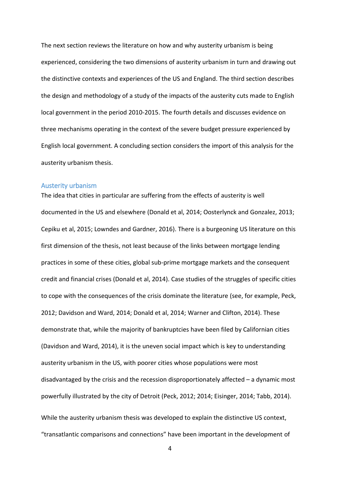The next section reviews the literature on how and why austerity urbanism is being experienced, considering the two dimensions of austerity urbanism in turn and drawing out the distinctive contexts and experiences of the US and England. The third section describes the design and methodology of a study of the impacts of the austerity cuts made to English local government in the period 2010-2015. The fourth details and discusses evidence on three mechanisms operating in the context of the severe budget pressure experienced by English local government. A concluding section considers the import of this analysis for the austerity urbanism thesis.

### Austerity urbanism

The idea that cities in particular are suffering from the effects of austerity is well documented in the US and elsewhere (Donald et al, 2014; Oosterlynck and Gonzalez, 2013; Cepiku et al, 2015; Lowndes and Gardner, 2016). There is a burgeoning US literature on this first dimension of the thesis, not least because of the links between mortgage lending practices in some of these cities, global sub-prime mortgage markets and the consequent credit and financial crises (Donald et al, 2014). Case studies of the struggles of specific cities to cope with the consequences of the crisis dominate the literature (see, for example, Peck, 2012; Davidson and Ward, 2014; Donald et al, 2014; Warner and Clifton, 2014). These demonstrate that, while the majority of bankruptcies have been filed by Californian cities (Davidson and Ward, 2014), it is the uneven social impact which is key to understanding austerity urbanism in the US, with poorer cities whose populations were most disadvantaged by the crisis and the recession disproportionately affected – a dynamic most powerfully illustrated by the city of Detroit (Peck, 2012; 2014; Eisinger, 2014; Tabb, 2014). While the austerity urbanism thesis was developed to explain the distinctive US context, "transatlantic comparisons and connections" have been important in the development of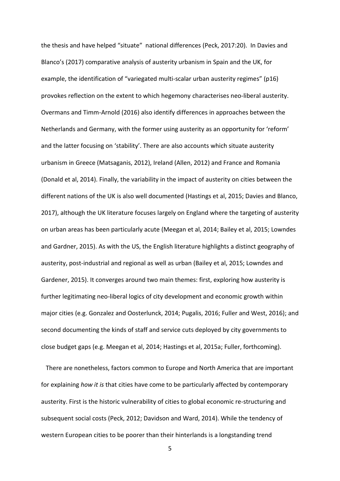the thesis and have helped "situate" national differences (Peck, 2017:20). In Davies and Blanco's (2017) comparative analysis of austerity urbanism in Spain and the UK, for example, the identification of "variegated multi-scalar urban austerity regimes" (p16) provokes reflection on the extent to which hegemony characterises neo-liberal austerity. Overmans and Timm-Arnold (2016) also identify differences in approaches between the Netherlands and Germany, with the former using austerity as an opportunity for 'reform' and the latter focusing on 'stability'. There are also accounts which situate austerity urbanism in Greece (Matsaganis, 2012), Ireland (Allen, 2012) and France and Romania (Donald et al, 2014). Finally, the variability in the impact of austerity on cities between the different nations of the UK is also well documented (Hastings et al, 2015; Davies and Blanco, 2017), although the UK literature focuses largely on England where the targeting of austerity on urban areas has been particularly acute (Meegan et al, 2014; Bailey et al, 2015; Lowndes and Gardner, 2015). As with the US, the English literature highlights a distinct geography of austerity, post-industrial and regional as well as urban (Bailey et al, 2015; Lowndes and Gardener, 2015). It converges around two main themes: first, exploring how austerity is further legitimating neo-liberal logics of city development and economic growth within major cities (e.g. Gonzalez and Oosterlunck, 2014; Pugalis, 2016; Fuller and West, 2016); and second documenting the kinds of staff and service cuts deployed by city governments to close budget gaps (e.g. Meegan et al, 2014; Hastings et al, 2015a; Fuller, forthcoming).

 There are nonetheless, factors common to Europe and North America that are important for explaining *how it is* that cities have come to be particularly affected by contemporary austerity. First is the historic vulnerability of cities to global economic re-structuring and subsequent social costs (Peck, 2012; Davidson and Ward, 2014). While the tendency of western European cities to be poorer than their hinterlands is a longstanding trend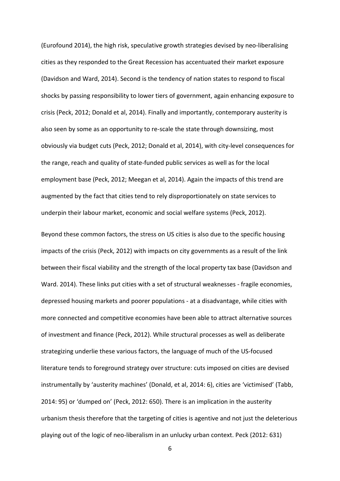(Eurofound 2014), the high risk, speculative growth strategies devised by neo-liberalising cities as they responded to the Great Recession has accentuated their market exposure (Davidson and Ward, 2014). Second is the tendency of nation states to respond to fiscal shocks by passing responsibility to lower tiers of government, again enhancing exposure to crisis (Peck, 2012; Donald et al, 2014). Finally and importantly, contemporary austerity is also seen by some as an opportunity to re-scale the state through downsizing, most obviously via budget cuts (Peck, 2012; Donald et al, 2014), with city-level consequences for the range, reach and quality of state-funded public services as well as for the local employment base (Peck, 2012; Meegan et al, 2014). Again the impacts of this trend are augmented by the fact that cities tend to rely disproportionately on state services to underpin their labour market, economic and social welfare systems (Peck, 2012).

Beyond these common factors, the stress on US cities is also due to the specific housing impacts of the crisis (Peck, 2012) with impacts on city governments as a result of the link between their fiscal viability and the strength of the local property tax base (Davidson and Ward. 2014). These links put cities with a set of structural weaknesses - fragile economies, depressed housing markets and poorer populations - at a disadvantage, while cities with more connected and competitive economies have been able to attract alternative sources of investment and finance (Peck, 2012). While structural processes as well as deliberate strategizing underlie these various factors, the language of much of the US-focused literature tends to foreground strategy over structure: cuts imposed on cities are devised instrumentally by 'austerity machines' (Donald, et al, 2014: 6), cities are 'victimised' (Tabb, 2014: 95) or 'dumped on' (Peck, 2012: 650). There is an implication in the austerity urbanism thesis therefore that the targeting of cities is agentive and not just the deleterious playing out of the logic of neo-liberalism in an unlucky urban context. Peck (2012: 631)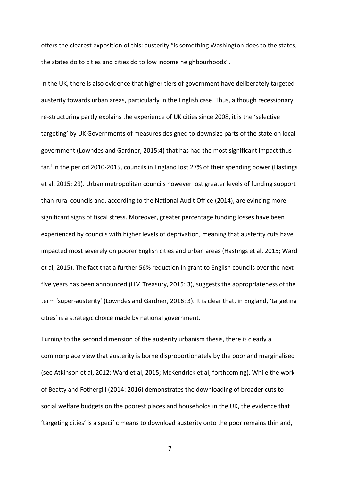offers the clearest exposition of this: austerity "is something Washington does to the states, the states do to cities and cities do to low income neighbourhoods".

In the UK, there is also evidence that higher tiers of government have deliberately targeted austerity towards urban areas, particularly in the English case. Thus, although recessionary re-structuring partly explains the experience of UK cities since 2008, it is the 'selective targeting' by UK Governments of measures designed to downsize parts of the state on local government (Lowndes and Gardner, 2015:4) that has had the most significant impact thus far. i In the period 2010-2015, councils in England lost 27% of their spending power (Hastings et al, 2015: 29). Urban metropolitan councils however lost greater levels of funding support than rural councils and, according to the National Audit Office (2014), are evincing more significant signs of fiscal stress. Moreover, greater percentage funding losses have been experienced by councils with higher levels of deprivation, meaning that austerity cuts have impacted most severely on poorer English cities and urban areas (Hastings et al, 2015; Ward et al, 2015). The fact that a further 56% reduction in grant to English councils over the next five years has been announced (HM Treasury, 2015: 3), suggests the appropriateness of the term 'super-austerity' (Lowndes and Gardner, 2016: 3). It is clear that, in England, 'targeting cities' is a strategic choice made by national government.

Turning to the second dimension of the austerity urbanism thesis, there is clearly a commonplace view that austerity is borne disproportionately by the poor and marginalised (see Atkinson et al, 2012; Ward et al, 2015; McKendrick et al, forthcoming). While the work of Beatty and Fothergill (2014; 2016) demonstrates the downloading of broader cuts to social welfare budgets on the poorest places and households in the UK, the evidence that 'targeting cities' is a specific means to download austerity onto the poor remains thin and,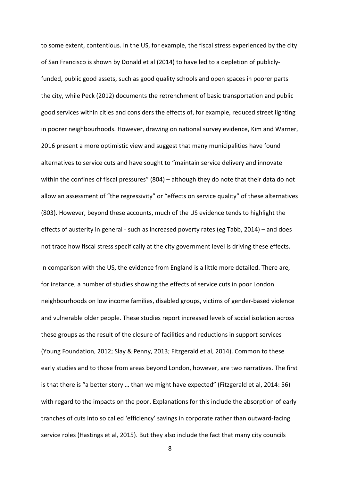to some extent, contentious. In the US, for example, the fiscal stress experienced by the city of San Francisco is shown by Donald et al (2014) to have led to a depletion of publiclyfunded, public good assets, such as good quality schools and open spaces in poorer parts the city, while Peck (2012) documents the retrenchment of basic transportation and public good services within cities and considers the effects of, for example, reduced street lighting in poorer neighbourhoods. However, drawing on national survey evidence, Kim and Warner, 2016 present a more optimistic view and suggest that many municipalities have found alternatives to service cuts and have sought to "maintain service delivery and innovate within the confines of fiscal pressures" (804) – although they do note that their data do not allow an assessment of "the regressivity" or "effects on service quality" of these alternatives (803). However, beyond these accounts, much of the US evidence tends to highlight the effects of austerity in general - such as increased poverty rates (eg Tabb, 2014) – and does not trace how fiscal stress specifically at the city government level is driving these effects. In comparison with the US, the evidence from England is a little more detailed. There are, for instance, a number of studies showing the effects of service cuts in poor London neighbourhoods on low income families, disabled groups, victims of gender-based violence and vulnerable older people. These studies report increased levels of social isolation across these groups as the result of the closure of facilities and reductions in support services (Young Foundation, 2012; Slay & Penny, 2013; Fitzgerald et al, 2014). Common to these early studies and to those from areas beyond London, however, are two narratives. The first is that there is "a better story … than we might have expected" (Fitzgerald et al, 2014: 56) with regard to the impacts on the poor. Explanations for this include the absorption of early tranches of cuts into so called 'efficiency' savings in corporate rather than outward-facing service roles (Hastings et al, 2015). But they also include the fact that many city councils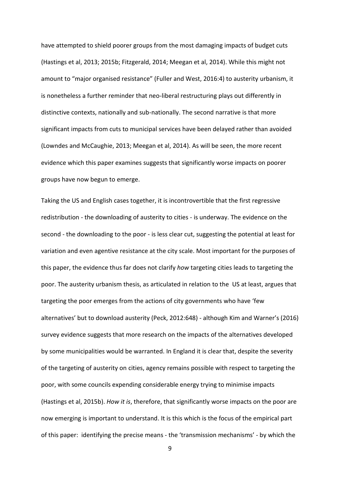have attempted to shield poorer groups from the most damaging impacts of budget cuts (Hastings et al, 2013; 2015b; Fitzgerald, 2014; Meegan et al, 2014). While this might not amount to "major organised resistance" (Fuller and West, 2016:4) to austerity urbanism, it is nonetheless a further reminder that neo-liberal restructuring plays out differently in distinctive contexts, nationally and sub-nationally. The second narrative is that more significant impacts from cuts to municipal services have been delayed rather than avoided (Lowndes and McCaughie, 2013; Meegan et al, 2014). As will be seen, the more recent evidence which this paper examines suggests that significantly worse impacts on poorer groups have now begun to emerge.

Taking the US and English cases together, it is incontrovertible that the first regressive redistribution - the downloading of austerity to cities - is underway. The evidence on the second - the downloading to the poor - is less clear cut, suggesting the potential at least for variation and even agentive resistance at the city scale. Most important for the purposes of this paper, the evidence thus far does not clarify *how* targeting cities leads to targeting the poor. The austerity urbanism thesis, as articulated in relation to the US at least, argues that targeting the poor emerges from the actions of city governments who have 'few alternatives' but to download austerity (Peck, 2012:648) - although Kim and Warner's (2016) survey evidence suggests that more research on the impacts of the alternatives developed by some municipalities would be warranted. In England it is clear that, despite the severity of the targeting of austerity on cities, agency remains possible with respect to targeting the poor, with some councils expending considerable energy trying to minimise impacts (Hastings et al, 2015b). *How it is*, therefore, that significantly worse impacts on the poor are now emerging is important to understand. It is this which is the focus of the empirical part of this paper: identifying the precise means - the 'transmission mechanisms' - by which the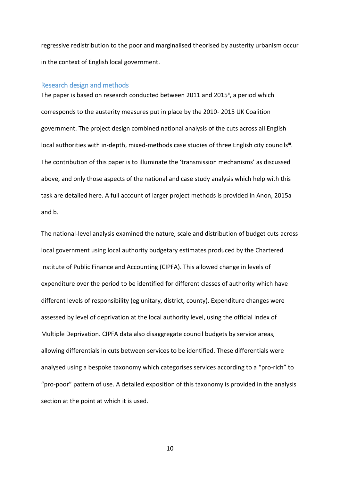regressive redistribution to the poor and marginalised theorised by austerity urbanism occur in the context of English local government.

## Research design and methods

The paper is based on research conducted between 2011 and 2015<sup>ii</sup>, a period which corresponds to the austerity measures put in place by the 2010- 2015 UK Coalition government. The project design combined national analysis of the cuts across all English local authorities with in-depth, mixed-methods case studies of three English city councilsiii. The contribution of this paper is to illuminate the 'transmission mechanisms' as discussed above, and only those aspects of the national and case study analysis which help with this task are detailed here. A full account of larger project methods is provided in Anon, 2015a and b.

The national-level analysis examined the nature, scale and distribution of budget cuts across local government using local authority budgetary estimates produced by the Chartered Institute of Public Finance and Accounting (CIPFA). This allowed change in levels of expenditure over the period to be identified for different classes of authority which have different levels of responsibility (eg unitary, district, county). Expenditure changes were assessed by level of deprivation at the local authority level, using the official Index of Multiple Deprivation. CIPFA data also disaggregate council budgets by service areas, allowing differentials in cuts between services to be identified. These differentials were analysed using a bespoke taxonomy which categorises services according to a "pro-rich" to "pro-poor" pattern of use. A detailed exposition of this taxonomy is provided in the analysis section at the point at which it is used.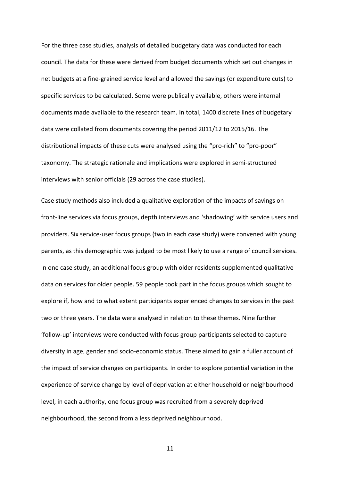For the three case studies, analysis of detailed budgetary data was conducted for each council. The data for these were derived from budget documents which set out changes in net budgets at a fine-grained service level and allowed the savings (or expenditure cuts) to specific services to be calculated. Some were publically available, others were internal documents made available to the research team. In total, 1400 discrete lines of budgetary data were collated from documents covering the period 2011/12 to 2015/16. The distributional impacts of these cuts were analysed using the "pro-rich" to "pro-poor" taxonomy. The strategic rationale and implications were explored in semi-structured interviews with senior officials (29 across the case studies).

Case study methods also included a qualitative exploration of the impacts of savings on front-line services via focus groups, depth interviews and 'shadowing' with service users and providers. Six service-user focus groups (two in each case study) were convened with young parents, as this demographic was judged to be most likely to use a range of council services. In one case study, an additional focus group with older residents supplemented qualitative data on services for older people. 59 people took part in the focus groups which sought to explore if, how and to what extent participants experienced changes to services in the past two or three years. The data were analysed in relation to these themes. Nine further 'follow-up' interviews were conducted with focus group participants selected to capture diversity in age, gender and socio-economic status. These aimed to gain a fuller account of the impact of service changes on participants. In order to explore potential variation in the experience of service change by level of deprivation at either household or neighbourhood level, in each authority, one focus group was recruited from a severely deprived neighbourhood, the second from a less deprived neighbourhood.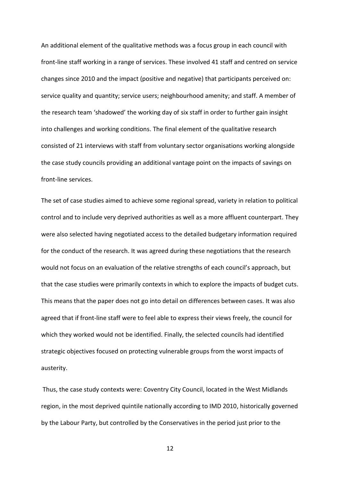An additional element of the qualitative methods was a focus group in each council with front-line staff working in a range of services. These involved 41 staff and centred on service changes since 2010 and the impact (positive and negative) that participants perceived on: service quality and quantity; service users; neighbourhood amenity; and staff. A member of the research team 'shadowed' the working day of six staff in order to further gain insight into challenges and working conditions. The final element of the qualitative research consisted of 21 interviews with staff from voluntary sector organisations working alongside the case study councils providing an additional vantage point on the impacts of savings on front-line services.

The set of case studies aimed to achieve some regional spread, variety in relation to political control and to include very deprived authorities as well as a more affluent counterpart. They were also selected having negotiated access to the detailed budgetary information required for the conduct of the research. It was agreed during these negotiations that the research would not focus on an evaluation of the relative strengths of each council's approach, but that the case studies were primarily contexts in which to explore the impacts of budget cuts. This means that the paper does not go into detail on differences between cases. It was also agreed that if front-line staff were to feel able to express their views freely, the council for which they worked would not be identified. Finally, the selected councils had identified strategic objectives focused on protecting vulnerable groups from the worst impacts of austerity.

Thus, the case study contexts were: Coventry City Council, located in the West Midlands region, in the most deprived quintile nationally according to IMD 2010, historically governed by the Labour Party, but controlled by the Conservatives in the period just prior to the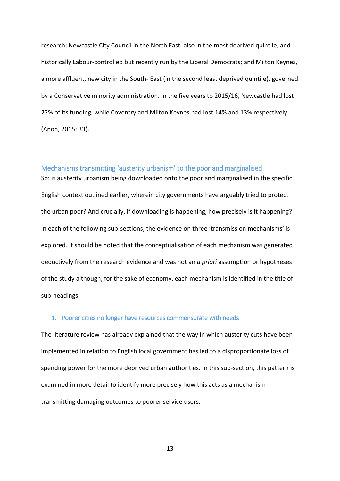research; Newcastle City Council in the North East, also in the most deprived quintile, and historically Labour-controlled but recently run by the Liberal Democrats; and Milton Keynes, a more affluent, new city in the South- East (in the second least deprived quintile), governed by a Conservative minority administration. In the five years to 2015/16, Newcastle had lost 22% of its funding, while Coventry and Milton Keynes had lost 14% and 13% respectively (Anon, 2015: 33).

# Mechanisms transmitting 'austerity urbanism' to the poor and marginalised

So: is austerity urbanism being downloaded onto the poor and marginalised in the specific English context outlined earlier, wherein city governments have arguably tried to protect the urban poor? And crucially, if downloading is happening, how precisely is it happening? In each of the following sub-sections, the evidence on three 'transmission mechanisms' is explored. It should be noted that the conceptualisation of each mechanism was generated deductively from the research evidence and was not an *a priori* assumption or hypotheses of the study although, for the sake of economy, each mechanism is identified in the title of sub-headings.

## 1. Poorer cities no longer have resources commensurate with needs

The literature review has already explained that the way in which austerity cuts have been implemented in relation to English local government has led to a disproportionate loss of spending power for the more deprived urban authorities. In this sub-section, this pattern is examined in more detail to identify more precisely how this acts as a mechanism transmitting damaging outcomes to poorer service users.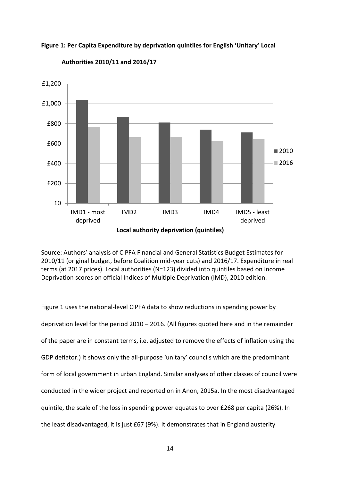**Figure 1: Per Capita Expenditure by deprivation quintiles for English 'Unitary' Local** 



**Authorities 2010/11 and 2016/17**

Source: Authors' analysis of CIPFA Financial and General Statistics Budget Estimates for 2010/11 (original budget, before Coalition mid-year cuts) and 2016/17. Expenditure in real terms (at 2017 prices). Local authorities (N=123) divided into quintiles based on Income Deprivation scores on official Indices of Multiple Deprivation (IMD), 2010 edition.

Figure 1 uses the national-level CIPFA data to show reductions in spending power by deprivation level for the period 2010 – 2016. (All figures quoted here and in the remainder of the paper are in constant terms, i.e. adjusted to remove the effects of inflation using the GDP deflator.) It shows only the all-purpose 'unitary' councils which are the predominant form of local government in urban England. Similar analyses of other classes of council were conducted in the wider project and reported on in Anon, 2015a. In the most disadvantaged quintile, the scale of the loss in spending power equates to over £268 per capita (26%). In the least disadvantaged, it is just £67 (9%). It demonstrates that in England austerity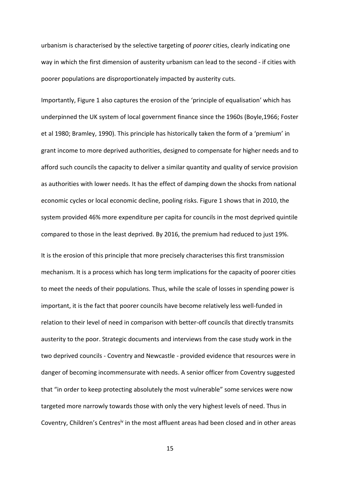urbanism is characterised by the selective targeting of *poorer* cities, clearly indicating one way in which the first dimension of austerity urbanism can lead to the second - if cities with poorer populations are disproportionately impacted by austerity cuts.

Importantly, Figure 1 also captures the erosion of the 'principle of equalisation' which has underpinned the UK system of local government finance since the 1960s (Boyle,1966; Foster et al 1980; Bramley, 1990). This principle has historically taken the form of a 'premium' in grant income to more deprived authorities, designed to compensate for higher needs and to afford such councils the capacity to deliver a similar quantity and quality of service provision as authorities with lower needs. It has the effect of damping down the shocks from national economic cycles or local economic decline, pooling risks. Figure 1 shows that in 2010, the system provided 46% more expenditure per capita for councils in the most deprived quintile compared to those in the least deprived. By 2016, the premium had reduced to just 19%.

It is the erosion of this principle that more precisely characterises this first transmission mechanism. It is a process which has long term implications for the capacity of poorer cities to meet the needs of their populations. Thus, while the scale of losses in spending power is important, it is the fact that poorer councils have become relatively less well-funded in relation to their level of need in comparison with better-off councils that directly transmits austerity to the poor. Strategic documents and interviews from the case study work in the two deprived councils - Coventry and Newcastle - provided evidence that resources were in danger of becoming incommensurate with needs. A senior officer from Coventry suggested that "in order to keep protecting absolutely the most vulnerable" some services were now targeted more narrowly towards those with only the very highest levels of need. Thus in Coventry, Children's Centres<sup>iv</sup> in the most affluent areas had been closed and in other areas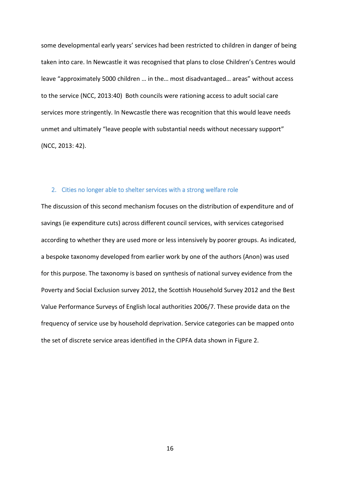some developmental early years' services had been restricted to children in danger of being taken into care. In Newcastle it was recognised that plans to close Children's Centres would leave "approximately 5000 children … in the… most disadvantaged… areas" without access to the service (NCC, 2013:40) Both councils were rationing access to adult social care services more stringently. In Newcastle there was recognition that this would leave needs unmet and ultimately "leave people with substantial needs without necessary support" (NCC, 2013: 42).

## 2. Cities no longer able to shelter services with a strong welfare role

The discussion of this second mechanism focuses on the distribution of expenditure and of savings (ie expenditure cuts) across different council services, with services categorised according to whether they are used more or less intensively by poorer groups. As indicated, a bespoke taxonomy developed from earlier work by one of the authors (Anon) was used for this purpose. The taxonomy is based on synthesis of national survey evidence from the Poverty and Social Exclusion survey 2012, the Scottish Household Survey 2012 and the Best Value Performance Surveys of English local authorities 2006/7. These provide data on the frequency of service use by household deprivation. Service categories can be mapped onto the set of discrete service areas identified in the CIPFA data shown in Figure 2.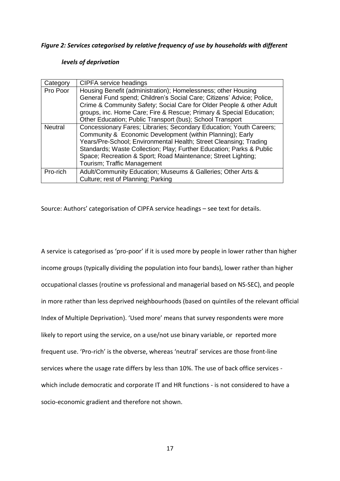# *Figure 2: Services categorised by relative frequency of use by households with different*

# *levels of deprivation*

| Category | CIPFA service headings                                                                                                                                                                                                                                                                                                                                                        |
|----------|-------------------------------------------------------------------------------------------------------------------------------------------------------------------------------------------------------------------------------------------------------------------------------------------------------------------------------------------------------------------------------|
| Pro Poor | Housing Benefit (administration); Homelessness; other Housing<br>General Fund spend; Children's Social Care; Citizens' Advice; Police,<br>Crime & Community Safety; Social Care for Older People & other Adult<br>groups, inc. Home Care; Fire & Rescue; Primary & Special Education;<br>Other Education; Public Transport (bus); School Transport                            |
| Neutral  | Concessionary Fares; Libraries; Secondary Education; Youth Careers;<br>Community & Economic Development (within Planning); Early<br>Years/Pre-School; Environmental Health; Street Cleansing; Trading<br>Standards; Waste Collection; Play; Further Education; Parks & Public<br>Space; Recreation & Sport; Road Maintenance; Street Lighting;<br>Tourism; Traffic Management |
| Pro-rich | Adult/Community Education; Museums & Galleries; Other Arts &<br>Culture; rest of Planning; Parking                                                                                                                                                                                                                                                                            |

Source: Authors' categorisation of CIPFA service headings – see text for details.

A service is categorised as 'pro-poor' if it is used more by people in lower rather than higher income groups (typically dividing the population into four bands), lower rather than higher occupational classes (routine vs professional and managerial based on NS-SEC), and people in more rather than less deprived neighbourhoods (based on quintiles of the relevant official Index of Multiple Deprivation). 'Used more' means that survey respondents were more likely to report using the service, on a use/not use binary variable, or reported more frequent use. 'Pro-rich' is the obverse, whereas 'neutral' services are those front-line services where the usage rate differs by less than 10%. The use of back office services which include democratic and corporate IT and HR functions - is not considered to have a socio-economic gradient and therefore not shown.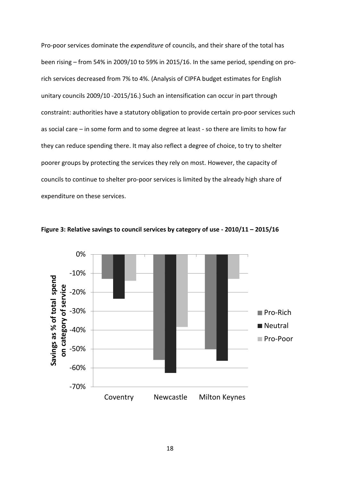Pro-poor services dominate the *expenditure* of councils, and their share of the total has been rising – from 54% in 2009/10 to 59% in 2015/16. In the same period, spending on prorich services decreased from 7% to 4%. (Analysis of CIPFA budget estimates for English unitary councils 2009/10 -2015/16.) Such an intensification can occur in part through constraint: authorities have a statutory obligation to provide certain pro-poor services such as social care – in some form and to some degree at least - so there are limits to how far they can reduce spending there. It may also reflect a degree of choice, to try to shelter poorer groups by protecting the services they rely on most. However, the capacity of councils to continue to shelter pro-poor services is limited by the already high share of expenditure on these services.



**Figure 3: Relative savings to council services by category of use - 2010/11 – 2015/16**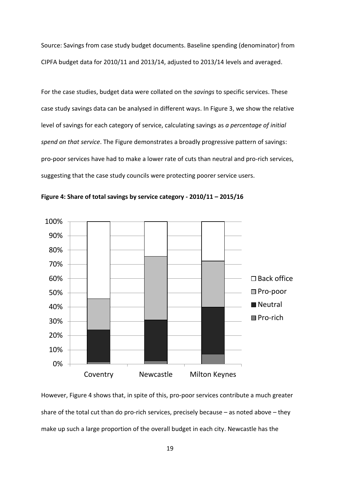Source: Savings from case study budget documents. Baseline spending (denominator) from CIPFA budget data for 2010/11 and 2013/14, adjusted to 2013/14 levels and averaged.

For the case studies, budget data were collated on the *savings* to specific services. These case study savings data can be analysed in different ways. In Figure 3, we show the relative level of savings for each category of service, calculating savings as *a percentage of initial spend on that service*. The Figure demonstrates a broadly progressive pattern of savings: pro-poor services have had to make a lower rate of cuts than neutral and pro-rich services, suggesting that the case study councils were protecting poorer service users.



**Figure 4: Share of total savings by service category - 2010/11 – 2015/16**

However, Figure 4 shows that, in spite of this, pro-poor services contribute a much greater share of the total cut than do pro-rich services, precisely because – as noted above – they make up such a large proportion of the overall budget in each city. Newcastle has the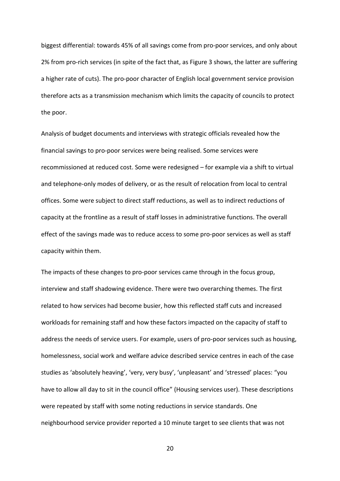biggest differential: towards 45% of all savings come from pro-poor services, and only about 2% from pro-rich services (in spite of the fact that, as Figure 3 shows, the latter are suffering a higher rate of cuts). The pro-poor character of English local government service provision therefore acts as a transmission mechanism which limits the capacity of councils to protect the poor.

Analysis of budget documents and interviews with strategic officials revealed how the financial savings to pro-poor services were being realised. Some services were recommissioned at reduced cost. Some were redesigned – for example via a shift to virtual and telephone-only modes of delivery, or as the result of relocation from local to central offices. Some were subject to direct staff reductions, as well as to indirect reductions of capacity at the frontline as a result of staff losses in administrative functions. The overall effect of the savings made was to reduce access to some pro-poor services as well as staff capacity within them.

The impacts of these changes to pro-poor services came through in the focus group, interview and staff shadowing evidence. There were two overarching themes. The first related to how services had become busier, how this reflected staff cuts and increased workloads for remaining staff and how these factors impacted on the capacity of staff to address the needs of service users. For example, users of pro-poor services such as housing, homelessness, social work and welfare advice described service centres in each of the case studies as 'absolutely heaving', 'very, very busy', 'unpleasant' and 'stressed' places: "you have to allow all day to sit in the council office" (Housing services user). These descriptions were repeated by staff with some noting reductions in service standards. One neighbourhood service provider reported a 10 minute target to see clients that was not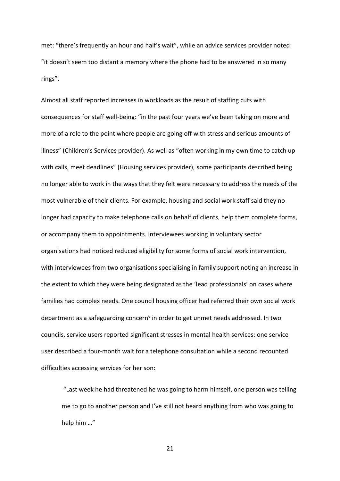met: "there's frequently an hour and half's wait", while an advice services provider noted: "it doesn't seem too distant a memory where the phone had to be answered in so many rings".

Almost all staff reported increases in workloads as the result of staffing cuts with consequences for staff well-being: "in the past four years we've been taking on more and more of a role to the point where people are going off with stress and serious amounts of illness" (Children's Services provider). As well as "often working in my own time to catch up with calls, meet deadlines" (Housing services provider), some participants described being no longer able to work in the ways that they felt were necessary to address the needs of the most vulnerable of their clients. For example, housing and social work staff said they no longer had capacity to make telephone calls on behalf of clients, help them complete forms, or accompany them to appointments. Interviewees working in voluntary sector organisations had noticed reduced eligibility for some forms of social work intervention, with interviewees from two organisations specialising in family support noting an increase in the extent to which they were being designated as the 'lead professionals' on cases where families had complex needs. One council housing officer had referred their own social work department as a safeguarding concern<sup>v</sup> in order to get unmet needs addressed. In two councils, service users reported significant stresses in mental health services: one service user described a four-month wait for a telephone consultation while a second recounted difficulties accessing services for her son:

"Last week he had threatened he was going to harm himself, one person was telling me to go to another person and I've still not heard anything from who was going to help him …"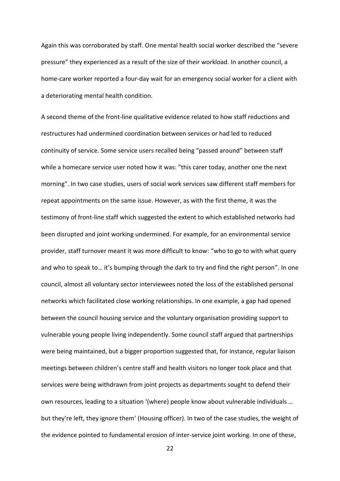Again this was corroborated by staff. One mental health social worker described the "severe pressure" they experienced as a result of the size of their workload. In another council, a home-care worker reported a four-day wait for an emergency social worker for a client with a deteriorating mental health condition.

A second theme of the front-line qualitative evidence related to how staff reductions and restructures had undermined coordination between services or had led to reduced continuity of service. Some service users recalled being "passed around" between staff while a homecare service user noted how it was: "this carer today, another one the next morning". In two case studies, users of social work services saw different staff members for repeat appointments on the same issue. However, as with the first theme, it was the testimony of front-line staff which suggested the extent to which established networks had been disrupted and joint working undermined. For example, for an environmental service provider, staff turnover meant it was more difficult to know: "who to go to with what query and who to speak to… it's bumping through the dark to try and find the right person". In one council, almost all voluntary sector interviewees noted the loss of the established personal networks which facilitated close working relationships. In one example, a gap had opened between the council housing service and the voluntary organisation providing support to vulnerable young people living independently. Some council staff argued that partnerships were being maintained, but a bigger proportion suggested that, for instance, regular liaison meetings between children's centre staff and health visitors no longer took place and that services were being withdrawn from joint projects as departments sought to defend their own resources, leading to a situation '(where) people know about vulnerable individuals … but they're left, they ignore them' (Housing officer). In two of the case studies, the weight of the evidence pointed to fundamental erosion of inter-service joint working. In one of these,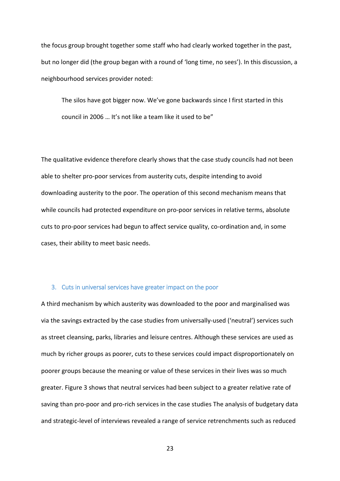the focus group brought together some staff who had clearly worked together in the past, but no longer did (the group began with a round of 'long time, no sees'). In this discussion, a neighbourhood services provider noted:

The silos have got bigger now. We've gone backwards since I first started in this council in 2006 … It's not like a team like it used to be"

The qualitative evidence therefore clearly shows that the case study councils had not been able to shelter pro-poor services from austerity cuts, despite intending to avoid downloading austerity to the poor. The operation of this second mechanism means that while councils had protected expenditure on pro-poor services in relative terms, absolute cuts to pro-poor services had begun to affect service quality, co-ordination and, in some cases, their ability to meet basic needs.

### 3. Cuts in universal services have greater impact on the poor

A third mechanism by which austerity was downloaded to the poor and marginalised was via the savings extracted by the case studies from universally-used ('neutral') services such as street cleansing, parks, libraries and leisure centres. Although these services are used as much by richer groups as poorer, cuts to these services could impact disproportionately on poorer groups because the meaning or value of these services in their lives was so much greater. Figure 3 shows that neutral services had been subject to a greater relative rate of saving than pro-poor and pro-rich services in the case studies The analysis of budgetary data and strategic-level of interviews revealed a range of service retrenchments such as reduced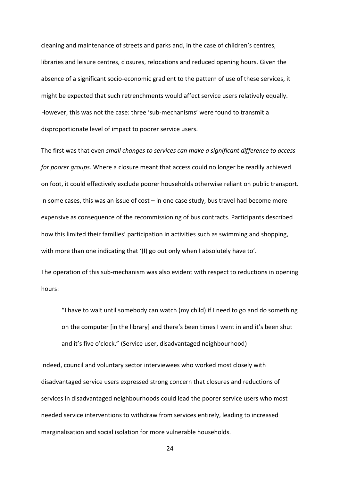cleaning and maintenance of streets and parks and, in the case of children's centres, libraries and leisure centres, closures, relocations and reduced opening hours. Given the absence of a significant socio-economic gradient to the pattern of use of these services, it might be expected that such retrenchments would affect service users relatively equally. However, this was not the case: three 'sub-mechanisms' were found to transmit a disproportionate level of impact to poorer service users.

The first was that even *small changes to services can make a significant difference to access for poorer groups.* Where a closure meant that access could no longer be readily achieved on foot, it could effectively exclude poorer households otherwise reliant on public transport. In some cases, this was an issue of cost – in one case study, bus travel had become more expensive as consequence of the recommissioning of bus contracts. Participants described how this limited their families' participation in activities such as swimming and shopping, with more than one indicating that '(I) go out only when I absolutely have to'.

The operation of this sub-mechanism was also evident with respect to reductions in opening hours:

"I have to wait until somebody can watch (my child) if I need to go and do something on the computer [in the library] and there's been times I went in and it's been shut and it's five o'clock." (Service user, disadvantaged neighbourhood)

Indeed, council and voluntary sector interviewees who worked most closely with disadvantaged service users expressed strong concern that closures and reductions of services in disadvantaged neighbourhoods could lead the poorer service users who most needed service interventions to withdraw from services entirely, leading to increased marginalisation and social isolation for more vulnerable households.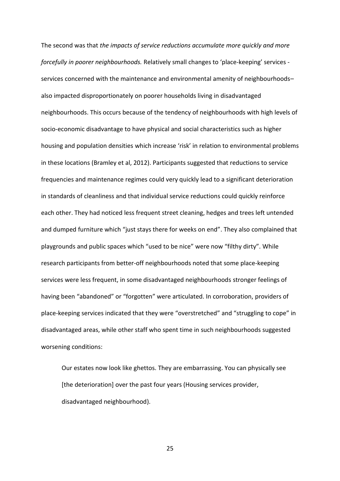The second was that *the impacts of service reductions accumulate more quickly and more forcefully in poorer neighbourhoods.* Relatively small changes to 'place-keeping' services services concerned with the maintenance and environmental amenity of neighbourhoods– also impacted disproportionately on poorer households living in disadvantaged neighbourhoods. This occurs because of the tendency of neighbourhoods with high levels of socio-economic disadvantage to have physical and social characteristics such as higher housing and population densities which increase 'risk' in relation to environmental problems in these locations (Bramley et al, 2012). Participants suggested that reductions to service frequencies and maintenance regimes could very quickly lead to a significant deterioration in standards of cleanliness and that individual service reductions could quickly reinforce each other. They had noticed less frequent street cleaning, hedges and trees left untended and dumped furniture which "just stays there for weeks on end". They also complained that playgrounds and public spaces which "used to be nice" were now "filthy dirty". While research participants from better-off neighbourhoods noted that some place-keeping services were less frequent, in some disadvantaged neighbourhoods stronger feelings of having been "abandoned" or "forgotten" were articulated. In corroboration, providers of place-keeping services indicated that they were "overstretched" and "struggling to cope" in disadvantaged areas, while other staff who spent time in such neighbourhoods suggested worsening conditions:

Our estates now look like ghettos. They are embarrassing. You can physically see [the deterioration] over the past four years (Housing services provider, disadvantaged neighbourhood).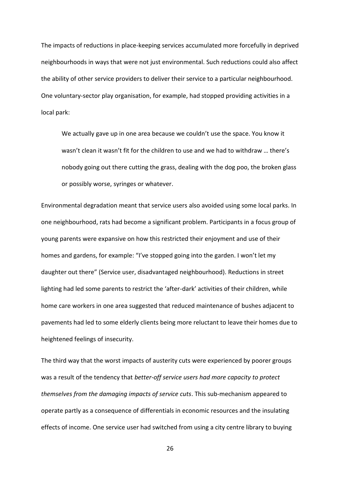The impacts of reductions in place-keeping services accumulated more forcefully in deprived neighbourhoods in ways that were not just environmental. Such reductions could also affect the ability of other service providers to deliver their service to a particular neighbourhood. One voluntary-sector play organisation, for example, had stopped providing activities in a local park:

We actually gave up in one area because we couldn't use the space. You know it wasn't clean it wasn't fit for the children to use and we had to withdraw … there's nobody going out there cutting the grass, dealing with the dog poo, the broken glass or possibly worse, syringes or whatever.

Environmental degradation meant that service users also avoided using some local parks. In one neighbourhood, rats had become a significant problem. Participants in a focus group of young parents were expansive on how this restricted their enjoyment and use of their homes and gardens, for example: "I've stopped going into the garden. I won't let my daughter out there" (Service user, disadvantaged neighbourhood). Reductions in street lighting had led some parents to restrict the 'after-dark' activities of their children, while home care workers in one area suggested that reduced maintenance of bushes adjacent to pavements had led to some elderly clients being more reluctant to leave their homes due to heightened feelings of insecurity.

The third way that the worst impacts of austerity cuts were experienced by poorer groups was a result of the tendency that *better-off service users had more capacity to protect themselves from the damaging impacts of service cuts*. This sub-mechanism appeared to operate partly as a consequence of differentials in economic resources and the insulating effects of income. One service user had switched from using a city centre library to buying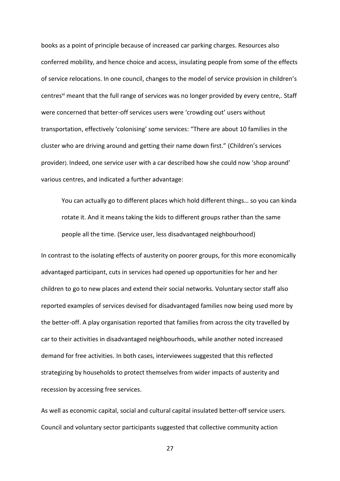books as a point of principle because of increased car parking charges. Resources also conferred mobility, and hence choice and access, insulating people from some of the effects of service relocations. In one council, changes to the model of service provision in children's centres<sup>vi</sup> meant that the full range of services was no longer provided by every centre,. Staff were concerned that better-off services users were 'crowding out' users without transportation, effectively 'colonising' some services: "There are about 10 families in the cluster who are driving around and getting their name down first." (Children's services provider). Indeed, one service user with a car described how she could now 'shop around' various centres, and indicated a further advantage:

You can actually go to different places which hold different things… so you can kinda rotate it. And it means taking the kids to different groups rather than the same people all the time. (Service user, less disadvantaged neighbourhood)

In contrast to the isolating effects of austerity on poorer groups, for this more economically advantaged participant, cuts in services had opened up opportunities for her and her children to go to new places and extend their social networks. Voluntary sector staff also reported examples of services devised for disadvantaged families now being used more by the better-off. A play organisation reported that families from across the city travelled by car to their activities in disadvantaged neighbourhoods, while another noted increased demand for free activities. In both cases, interviewees suggested that this reflected strategizing by households to protect themselves from wider impacts of austerity and recession by accessing free services.

As well as economic capital, social and cultural capital insulated better-off service users. Council and voluntary sector participants suggested that collective community action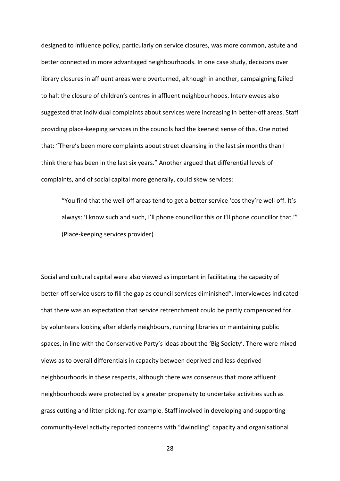designed to influence policy, particularly on service closures, was more common, astute and better connected in more advantaged neighbourhoods. In one case study, decisions over library closures in affluent areas were overturned, although in another, campaigning failed to halt the closure of children's centres in affluent neighbourhoods. Interviewees also suggested that individual complaints about services were increasing in better-off areas. Staff providing place-keeping services in the councils had the keenest sense of this. One noted that: "There's been more complaints about street cleansing in the last six months than I think there has been in the last six years." Another argued that differential levels of complaints, and of social capital more generally, could skew services:

"You find that the well-off areas tend to get a better service 'cos they're well off. It's always: 'I know such and such, I'll phone councillor this or I'll phone councillor that.'" (Place-keeping services provider)

Social and cultural capital were also viewed as important in facilitating the capacity of better-off service users to fill the gap as council services diminished". Interviewees indicated that there was an expectation that service retrenchment could be partly compensated for by volunteers looking after elderly neighbours, running libraries or maintaining public spaces, in line with the Conservative Party's ideas about the 'Big Society'. There were mixed views as to overall differentials in capacity between deprived and less-deprived neighbourhoods in these respects, although there was consensus that more affluent neighbourhoods were protected by a greater propensity to undertake activities such as grass cutting and litter picking, for example. Staff involved in developing and supporting community-level activity reported concerns with "dwindling" capacity and organisational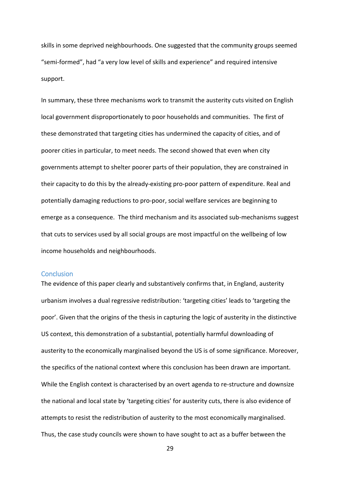skills in some deprived neighbourhoods. One suggested that the community groups seemed "semi-formed", had "a very low level of skills and experience" and required intensive support.

In summary, these three mechanisms work to transmit the austerity cuts visited on English local government disproportionately to poor households and communities. The first of these demonstrated that targeting cities has undermined the capacity of cities, and of poorer cities in particular, to meet needs. The second showed that even when city governments attempt to shelter poorer parts of their population, they are constrained in their capacity to do this by the already-existing pro-poor pattern of expenditure. Real and potentially damaging reductions to pro-poor, social welfare services are beginning to emerge as a consequence. The third mechanism and its associated sub-mechanisms suggest that cuts to services used by all social groups are most impactful on the wellbeing of low income households and neighbourhoods.

# **Conclusion**

The evidence of this paper clearly and substantively confirms that, in England, austerity urbanism involves a dual regressive redistribution: 'targeting cities' leads to 'targeting the poor'. Given that the origins of the thesis in capturing the logic of austerity in the distinctive US context, this demonstration of a substantial, potentially harmful downloading of austerity to the economically marginalised beyond the US is of some significance. Moreover, the specifics of the national context where this conclusion has been drawn are important. While the English context is characterised by an overt agenda to re-structure and downsize the national and local state by 'targeting cities' for austerity cuts, there is also evidence of attempts to resist the redistribution of austerity to the most economically marginalised. Thus, the case study councils were shown to have sought to act as a buffer between the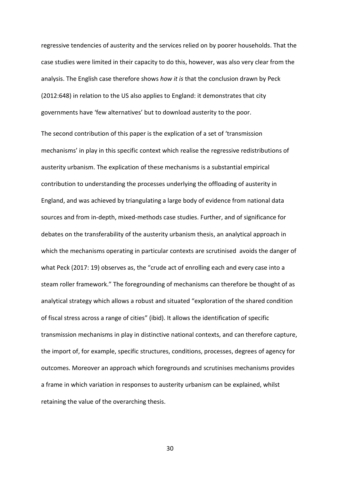regressive tendencies of austerity and the services relied on by poorer households. That the case studies were limited in their capacity to do this, however, was also very clear from the analysis. The English case therefore shows *how it is* that the conclusion drawn by Peck (2012:648) in relation to the US also applies to England: it demonstrates that city governments have 'few alternatives' but to download austerity to the poor.

The second contribution of this paper is the explication of a set of 'transmission mechanisms' in play in this specific context which realise the regressive redistributions of austerity urbanism. The explication of these mechanisms is a substantial empirical contribution to understanding the processes underlying the offloading of austerity in England, and was achieved by triangulating a large body of evidence from national data sources and from in-depth, mixed-methods case studies. Further, and of significance for debates on the transferability of the austerity urbanism thesis, an analytical approach in which the mechanisms operating in particular contexts are scrutinised avoids the danger of what Peck (2017: 19) observes as, the "crude act of enrolling each and every case into a steam roller framework." The foregrounding of mechanisms can therefore be thought of as analytical strategy which allows a robust and situated "exploration of the shared condition of fiscal stress across a range of cities" (ibid). It allows the identification of specific transmission mechanisms in play in distinctive national contexts, and can therefore capture, the import of, for example, specific structures, conditions, processes, degrees of agency for outcomes. Moreover an approach which foregrounds and scrutinises mechanisms provides a frame in which variation in responses to austerity urbanism can be explained, whilst retaining the value of the overarching thesis.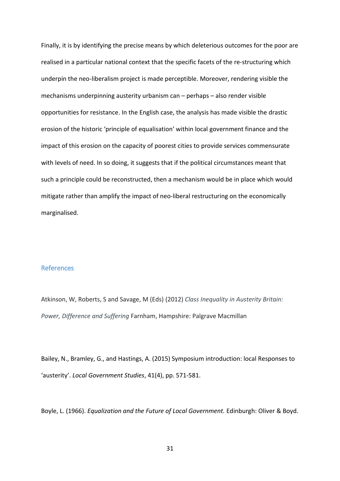Finally, it is by identifying the precise means by which deleterious outcomes for the poor are realised in a particular national context that the specific facets of the re-structuring which underpin the neo-liberalism project is made perceptible. Moreover, rendering visible the mechanisms underpinning austerity urbanism can – perhaps – also render visible opportunities for resistance. In the English case, the analysis has made visible the drastic erosion of the historic 'principle of equalisation' within local government finance and the impact of this erosion on the capacity of poorest cities to provide services commensurate with levels of need. In so doing, it suggests that if the political circumstances meant that such a principle could be reconstructed, then a mechanism would be in place which would mitigate rather than amplify the impact of neo-liberal restructuring on the economically marginalised.

### References

Atkinson, W, Roberts, S and Savage, M (Eds) (2012) *Class Inequality in Austerity Britain: Power, Difference and Suffering* Farnham, Hampshire: Palgrave Macmillan

[Bailey, N.,](http://eprints.gla.ac.uk/view/author/10246.html) Bramley, G., an[d Hastings, A.](http://eprints.gla.ac.uk/view/author/1920.html) (2015[\) Symposium introduction: local Responses to](http://eprints.gla.ac.uk/106321/)  ['austerity'.](http://eprints.gla.ac.uk/106321/) *[Local Government Studies](http://eprints.gla.ac.uk/view/journal_volume/Local_Government_Studies.html)*, 41(4), pp. 571-581.

Boyle, L. (1966). *Equalization and the Future of Local Government.* Edinburgh: Oliver & Boyd.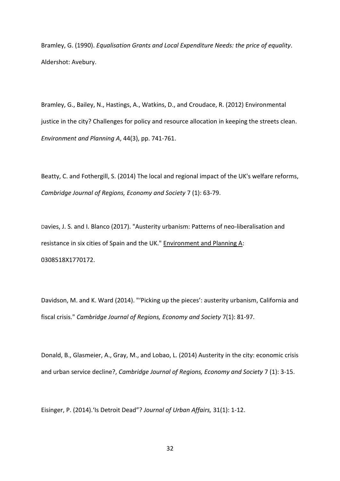Bramley, G. (1990). *Equalisation Grants and Local Expenditure Needs: the price of equality*. Aldershot: Avebury.

Bramley, G., [Bailey, N.,](http://eprints.gla.ac.uk/view/author/10246.html) [Hastings, A.,](http://eprints.gla.ac.uk/view/author/1920.html) Watkins, D., and [Croudace, R.](http://eprints.gla.ac.uk/view/author/11298.html) (2012) [Environmental](http://eprints.gla.ac.uk/56261/)  [justice in the city? Challenges for policy and resource allocation in keeping the streets clean.](http://eprints.gla.ac.uk/56261/) *[Environment and Planning A](http://eprints.gla.ac.uk/view/journal_volume/Environment_and_Planning_A.html)*, 44(3), pp. 741-761.

Beatty, C. and Fothergill, S. (2014) The local and regional impact of the UK's welfare reforms, *Cambridge Journal of Regions, Economy and Society* 7 (1): 63-79.

Davies, J. S. and I. Blanco (2017). "Austerity urbanism: Patterns of neo-liberalisation and resistance in six cities of Spain and the UK." Environment and Planning A: 0308518X1770172.

Davidson, M. and K. Ward (2014). "'Picking up the pieces': austerity urbanism, California and fiscal crisis." *Cambridge Journal of Regions, Economy and Society* 7(1): 81-97.

Donald, B., Glasmeier, A., Gray, M., and Lobao, L. (2014) Austerity in the city: economic crisis and urban service decline?, *Cambridge Journal of Regions, Economy and Society* 7 (1): 3-15.

Eisinger, P. (2014).'Is Detroit Dead"? *Journal of Urban Affairs,* 31(1): 1-12.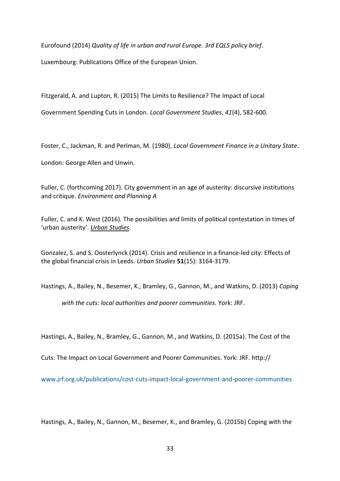Eurofound (2014) *Quality of life in urban and rural Europe. 3rd EQLS policy brief.* 

Luxembourg: Publications Office of the European Union.

Fitzgerald, A. and Lupton, R. (2015) The Limits to Resilience? The Impact of Local

Government Spending Cuts in London. *Local Government Studies*, *41*(4), 582-600.

Foster, C., Jackman, R. and Perlman, M. (1980), *Local Government Finance in a Unitary State*. London: George Allen and Unwin.

Fuller, C. (forthcoming 2017). [City government in an age of austerity: discursive institutions](http://orca.cf.ac.uk/96556)  [and critique.](http://orca.cf.ac.uk/96556) *Environment and Planning A*

Fuller, C. and K. West (2016). The possibilities and limits of political contestation in times of 'urban austerity'. *Urban Studies*.

Gonzalez, S. and S. Oosterlynck (2014). Crisis and resilience in a finance-led city: Effects of the global financial crisis in Leeds. *Urban Studies* **51**(15): 3164-3179.

Hastings, A., Bailey, N., Besemer, K., Bramley, G., Gannon, M., and Watkins, D. (2013) *Coping* 

*with the cuts: local authorities and poorer communities.* York: JRF.

Hastings, A., Bailey, N., Bramley, G., Gannon, M., and Watkins, D. (2015a). The Cost of the

Cuts: The Impact on Local Government and Poorer Communities. York: JRF. http://

[www.jrf.org.uk/publications/cost-cuts-impact-local-government-and-poorer-communities](http://www.jrf.org.uk/publications/cost-cuts-impact-local-government-and-poorer-communities)

[Hastings, A.,](http://eprints.gla.ac.uk/view/author/1920.html) [Bailey, N.,](http://eprints.gla.ac.uk/view/author/10246.html) [Gannon, M.,](http://eprints.gla.ac.uk/view/author/9275.html) Besemer, K., and Bramley, G. (2015b) [Coping with the](http://eprints.gla.ac.uk/106322/)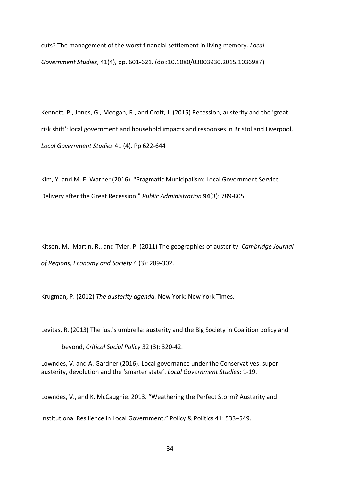cuts? [The management of the worst financial settlement in living memory.](http://eprints.gla.ac.uk/106322/) *[Local](http://eprints.gla.ac.uk/view/journal_volume/Local_Government_Studies.html)  [Government Studies](http://eprints.gla.ac.uk/view/journal_volume/Local_Government_Studies.html)*, 41(4), pp. 601-621. (doi[:10.1080/03003930.2015.1036987\)](http://dx.doi.org/10.1080/03003930.2015.1036987)

Kennett, P., Jones, G., Meegan, R., and Croft, J. (2015) Recession, austerity and the 'great risk shift': local government and household impacts and responses in Bristol and Liverpool, *Local Government Studies* 41 (4). Pp 622-644

Kim, Y. and M. E. Warner (2016). "Pragmatic Municipalism: Local Government Service Delivery after the Great Recession." *Public Administration* **94**(3): 789-805.

Kitson, M., Martin, R., and Tyler, P. (2011) The geographies of austerity, *Cambridge Journal of Regions, Economy and Society* 4 (3): 289-302.

Krugman, P. (2012) *The austerity agenda.* New York: New York Times.

Levitas, R. (2013) The just's umbrella: austerity and the Big Society in Coalition policy and

beyond, *Critical Social Policy* 32 (3): 320-42.

Lowndes, V. and A. Gardner (2016). Local governance under the Conservatives: superausterity, devolution and the 'smarter state'. *Local Government Studies*: 1-19.

Lowndes, V., and K. McCaughie. 2013. "Weathering the Perfect Storm? Austerity and

Institutional Resilience in Local Government." Policy & Politics 41: 533–549.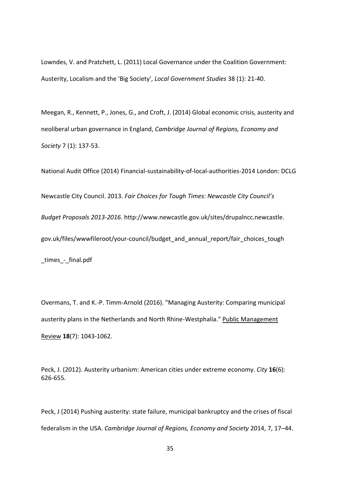Lowndes, V. and Pratchett, L. (2011) Local Governance under the Coalition Government: Austerity, Localism and the 'Big Society', *Local Government Studies* 38 (1): 21-40.

Meegan, R., Kennett, P., Jones, G., and Croft, J. (2014) Global economic crisis, austerity and neoliberal urban governance in England, *Cambridge Journal of Regions, Economy and Society* 7 (1): 137-53.

National Audit Office (2014) Financial-sustainability-of-local-authorities-2014 London: DCLG Newcastle City Council. 2013. *Fair Choices for Tough Times: Newcastle City Council's Budget Proposals 2013-2016.* http://www.newcastle.gov.uk/sites/drupalncc.newcastle. gov.uk/files/wwwfileroot/your-council/budget\_and\_annual\_report/fair\_choices\_tough times - final.pdf

Overmans, T. and K.-P. Timm-Arnold (2016). "Managing Austerity: Comparing municipal austerity plans in the Netherlands and North Rhine-Westphalia." Public Management Review **18**(7): 1043-1062.

Peck, J. (2012). Austerity urbanism: American cities under extreme economy. *City* **16**(6): 626-655.

Peck, J (2014) Pushing austerity: state failure, municipal bankruptcy and the crises of fiscal federalism in the USA. *Cambridge Journal of Regions, Economy and Society* 2014, 7, 17–44.